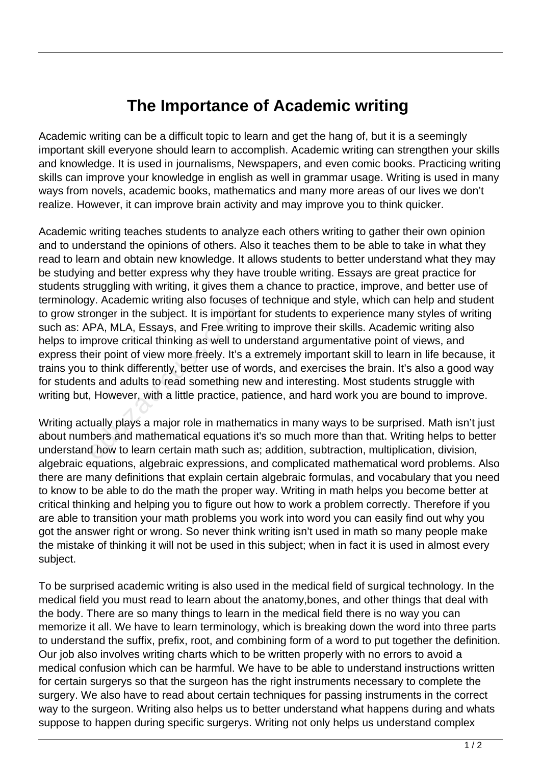## **The Importance of Academic writing**

Academic writing can be a difficult topic to learn and get the hang of, but it is a seemingly important skill everyone should learn to accomplish. Academic writing can strengthen your skills and knowledge. It is used in journalisms, Newspapers, and even comic books. Practicing writing skills can improve your knowledge in english as well in grammar usage. Writing is used in many ways from novels, academic books, mathematics and many more areas of our lives we don't realize. However, it can improve brain activity and may improve you to think quicker.

Academic writing teaches students to analyze each others writing to gather their own opinion and to understand the opinions of others. Also it teaches them to be able to take in what they read to learn and obtain new knowledge. It allows students to better understand what they may be studying and better express why they have trouble writing. Essays are great practice for students struggling with writing, it gives them a chance to practice, improve, and better use of terminology. Academic writing also focuses of technique and style, which can help and student to grow stronger in the subject. It is important for students to experience many styles of writing such as: APA, MLA, Essays, and Free writing to improve their skills. Academic writing also helps to improve critical thinking as well to understand argumentative point of views, and express their point of view more freely. It's a extremely important skill to learn in life because, it trains you to think differently, better use of words, and exercises the brain. It's also a good way for students and adults to read something new and interesting. Most students struggle with writing but, However, with a little practice, patience, and hard work you are bound to improve. onger in the subject. It is importance in the subject. It is importanced PA, MLA, Essays, and Free writin prove critical thinking as well to u eir point of view more freely. It's a to think differently, better use of w is

Writing actually plays a major role in mathematics in many ways to be surprised. Math isn't just about numbers and mathematical equations it's so much more than that. Writing helps to better understand how to learn certain math such as; addition, subtraction, multiplication, division, algebraic equations, algebraic expressions, and complicated mathematical word problems. Also there are many definitions that explain certain algebraic formulas, and vocabulary that you need to know to be able to do the math the proper way. Writing in math helps you become better at critical thinking and helping you to figure out how to work a problem correctly. Therefore if you are able to transition your math problems you work into word you can easily find out why you got the answer right or wrong. So never think writing isn't used in math so many people make the mistake of thinking it will not be used in this subject; when in fact it is used in almost every subject.

To be surprised academic writing is also used in the medical field of surgical technology. In the medical field you must read to learn about the anatomy,bones, and other things that deal with the body. There are so many things to learn in the medical field there is no way you can memorize it all. We have to learn terminology, which is breaking down the word into three parts to understand the suffix, prefix, root, and combining form of a word to put together the definition. Our job also involves writing charts which to be written properly with no errors to avoid a medical confusion which can be harmful. We have to be able to understand instructions written for certain surgerys so that the surgeon has the right instruments necessary to complete the surgery. We also have to read about certain techniques for passing instruments in the correct way to the surgeon. Writing also helps us to better understand what happens during and whats suppose to happen during specific surgerys. Writing not only helps us understand complex